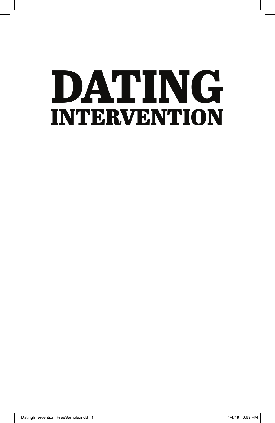# DATING INTERVENTION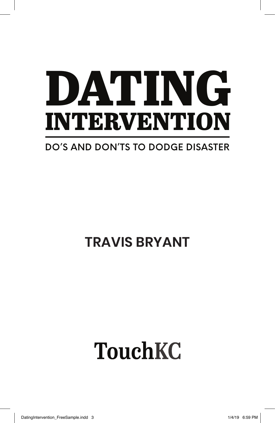# DATING INTERVENTION

#### **DO'S AND DON'TS TO DODGE DISASTER**

### **TRAVIS BRYANT**

## **TouchKC**

DatingIntervention\_FreeSample.indd 3 1/4/19 6:59 PM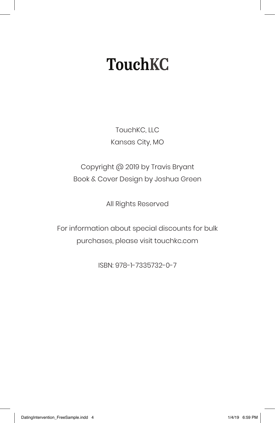## **TouchKC**

TouchKC, LLC Kansas City, MO

Copyright @ 2019 by Travis Bryant Book & Cover Design by Joshua Green

All Rights Reserved

For information about special discounts for bulk purchases, please visit touchkc.com

ISBN: 978-1-7335732-0-7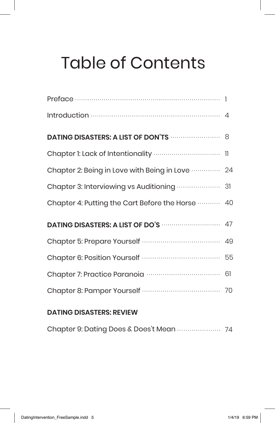## Table of Contents

| Chapter 2: Being in Love with Being in Love  24  |  |
|--------------------------------------------------|--|
|                                                  |  |
| Chapter 4: Putting the Cart Before the Horse  40 |  |
|                                                  |  |
|                                                  |  |
|                                                  |  |
|                                                  |  |
|                                                  |  |

#### **DATING DISASTERS: REVIEW**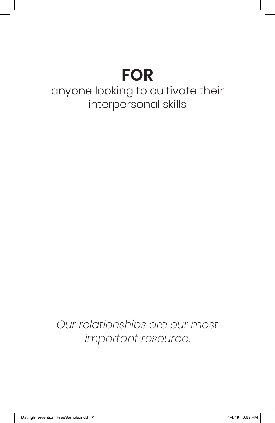## **FOR**

#### anyone looking to cultivate their interpersonal skills

*Our relationships are our most important resource.*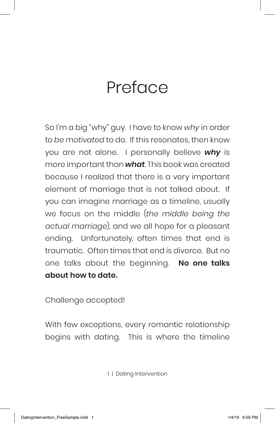## Preface

So I'm a big "why" guy. I have to know *why* in order to *be motivated* to do. If this resonates, then know you are not alone. I personally believe *why* is more important than *what*. This book was created because I realized that there is a very important element of marriage that is not talked about. If you can imagine marriage as a timeline, usually we focus on the middle (*the middle being the actual marriage*), and we all hope for a pleasant ending. Unfortunately, often times that end is traumatic. Often times that end is divorce. But no one talks about the beginning. **No one talks about how to date.** 

Challenge accepted!

With few exceptions, every romantic relationship begins with dating. This is where the timeline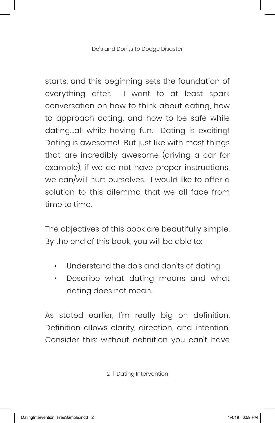starts, and this beginning sets the foundation of everything after. I want to at least spark conversation on how to think about dating, how to approach dating, and how to be safe while dating...all while having fun. Dating is exciting! Dating is awesome! But just like with most things that are incredibly awesome (driving a car for example), if we do not have proper instructions, we can/will hurt ourselves. I would like to offer a solution to this dilemma that we all face from time to time.

The objectives of this book are beautifully simple. By the end of this book, you will be able to:

- Understand the do's and don'ts of dating
- Describe what dating means and what dating does not mean.

As stated earlier, I'm really big on definition. Definition allows clarity, direction, and intention. Consider this: without definition you can't have

<sup>2 |</sup> Dating Intervention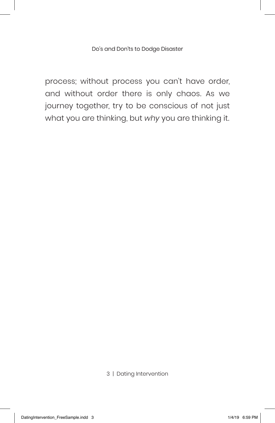Do's and Don'ts to Dodge Disaster

process; without process you can't have order, and without order there is only chaos. As we journey together, try to be conscious of not just what you are thinking, but *why* you are thinking it.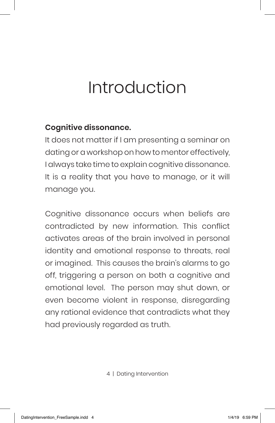## Introduction

#### **Cognitive dissonance.**

It does not matter if I am presenting a seminar on dating or a workshop on how to mentor effectively, I always take time to explain cognitive dissonance. It is a reality that you have to manage, or it will manage you.

Cognitive dissonance occurs when beliefs are contradicted by new information. This conflict activates areas of the brain involved in personal identity and emotional response to threats, real or imagined. This causes the brain's alarms to go off, triggering a person on both a cognitive and emotional level. The person may shut down, or even become violent in response, disregarding any rational evidence that contradicts what they had previously regarded as truth.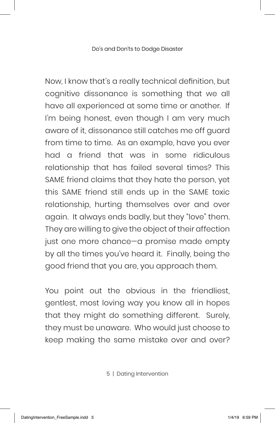Now, I know that's a really technical definition, but cognitive dissonance is something that we all have all experienced at some time or another. If I'm being honest, even though I am very much aware of it, dissonance still catches me off guard from time to time. As an example, have you ever had a friend that was in some ridiculous relationship that has failed several times? This SAME friend claims that they hate the person, yet this SAME friend still ends up in the SAME toxic relationship, hurting themselves over and over again. It always ends badly, but they "love" them. They are willing to give the object of their affection just one more chance—a promise made empty by all the times you've heard it. Finally, being the good friend that you are, you approach them.

You point out the obvious in the friendliest, gentlest, most loving way you know all in hopes that they might do something different. Surely, they must be unaware. Who would just choose to keep making the same mistake over and over?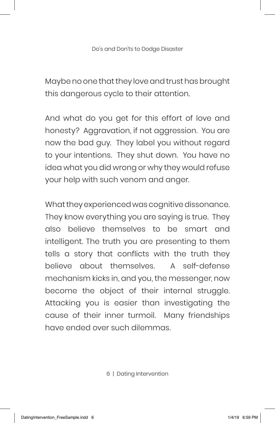Maybe no one that they love and trust has brought this dangerous cycle to their attention.

And what do you get for this effort of love and honesty? Aggravation, if not aggression. You are now the bad guy. They label you without regard to your intentions. They shut down. You have no idea what you did wrong or why they would refuse your help with such venom and anger.

What they experienced was cognitive dissonance. They know everything you are saying is true. They also believe themselves to be smart and intelligent. The truth you are presenting to them tells a story that conflicts with the truth they believe about themselves. A self-defense mechanism kicks in, and you, the messenger, now become the object of their internal struggle. Attacking you is easier than investigating the cause of their inner turmoil. Many friendships have ended over such dilemmas.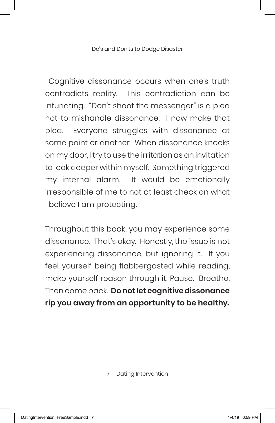Do's and Don'ts to Dodge Disaster

 Cognitive dissonance occurs when one's truth contradicts reality. This contradiction can be infuriating. "Don't shoot the messenger" is a plea not to mishandle dissonance. I now make that plea. Everyone struggles with dissonance at some point or another. When dissonance knocks on my door, I try to use the irritation as an invitation to look deeper within myself. Something triggered my internal alarm. It would be emotionally irresponsible of me to not at least check on what I believe I am protecting.

Throughout this book, you may experience some dissonance. That's okay. Honestly, the issue is not experiencing dissonance, but ignoring it. If you feel yourself being flabbergasted while reading, make yourself reason through it. Pause. Breathe. Then come back. **Do not let cognitive dissonance rip you away from an opportunity to be healthy.**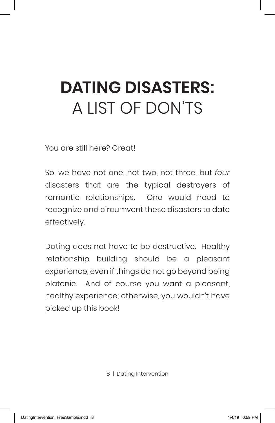## **DATING DISASTERS:** A LIST OF DON'TS

You are still here? Great!

So, we have not one, not two, not three, but *four* disasters that are the typical destroyers of romantic relationships. One would need to recognize and circumvent these disasters to date effectively.

Dating does not have to be destructive. Healthy relationship building should be a pleasant experience, even if things do not go beyond being platonic. And of course you want a pleasant, healthy experience; otherwise, you wouldn't have picked up this book!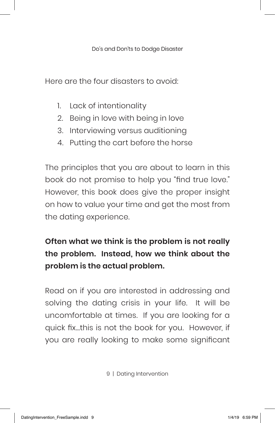Here are the four disasters to avoid:

- 1. Lack of intentionality
- 2. Being in love with being in love
- 3. Interviewing versus auditioning
- 4. Putting the cart before the horse

The principles that you are about to learn in this book do not promise to help you "find true love." However, this book does give the proper insight on how to value your time and get the most from the dating experience.

#### **Often what we think is the problem is not really the problem. Instead, how we think about the problem is the actual problem.**

Read on if you are interested in addressing and solving the dating crisis in your life. It will be uncomfortable at times. If you are looking for a quick fix…this is not the book for you. However, if you are really looking to make some significant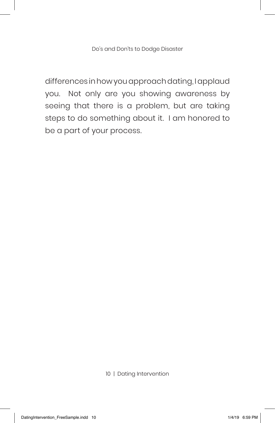differences in how you approach dating, I applaud you. Not only are you showing awareness by seeing that there is a problem, but are taking steps to do something about it. I am honored to be a part of your process.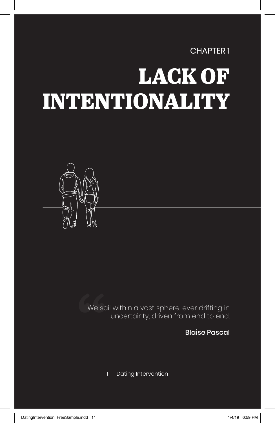CHAPTER 1

## LACK OF INTENTIONALITY



We sail within a vast sphere, ever drifting in uncertainty, driven from end to end. We so

Blaise Pascal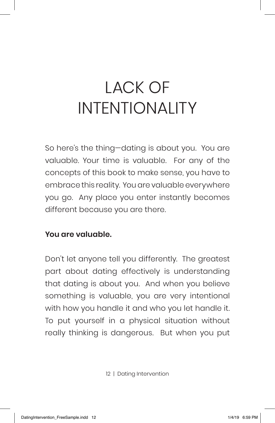## LACK OF INTENTIONALITY

So here's the thing—dating is about you. You are valuable. Your time is valuable. For any of the concepts of this book to make sense, you have to embrace this reality. You are valuable everywhere you go. Any place you enter instantly becomes different because you are there.

#### **You are valuable.**

Don't let anyone tell you differently. The greatest part about dating effectively is understanding that dating is about you. And when you believe something is valuable, you are very intentional with how you handle it and who you let handle it. To put yourself in a physical situation without really thinking is dangerous. But when you put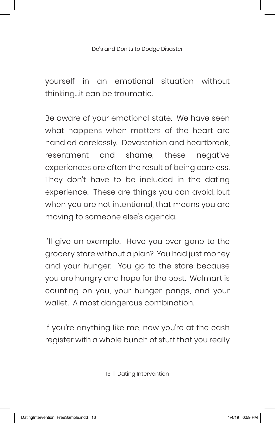#### Do's and Don'ts to Dodge Disaster

yourself in an emotional situation without thinking…it can be traumatic.

Be aware of your emotional state. We have seen what happens when matters of the heart are handled carelessly. Devastation and heartbreak, resentment and shame; these negative experiences are often the result of being careless. They don't have to be included in the dating experience. These are things you can avoid, but when you are not intentional, that means you are moving to someone else's agenda.

I'll give an example. Have you ever gone to the grocery store without a plan? You had just money and your hunger. You go to the store because you are hungry and hope for the best. Walmart is counting on you, your hunger pangs, and your wallet. A most dangerous combination.

If you're anything like me, now you're at the cash register with a whole bunch of stuff that you really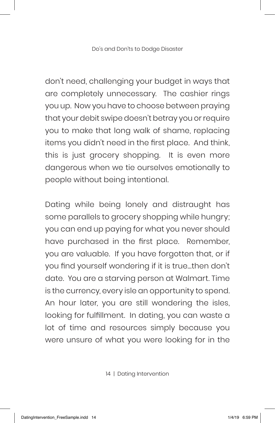don't need, challenging your budget in ways that are completely unnecessary. The cashier rings you up. Now you have to choose between praying that your debit swipe doesn't betray you or require you to make that long walk of shame, replacing items you didn't need in the first place. And think, this is just grocery shopping. It is even more dangerous when we tie ourselves emotionally to people without being intentional.

Dating while being lonely and distraught has some parallels to grocery shopping while hungry; you can end up paying for what you never should have purchased in the first place. Remember, you are valuable. If you have forgotten that, or if you find yourself wondering if it is true…then don't date. You are a starving person at Walmart. Time is the currency, every isle an opportunity to spend. An hour later, you are still wondering the isles, looking for fulfillment. In dating, you can waste a lot of time and resources simply because you were unsure of what you were looking for in the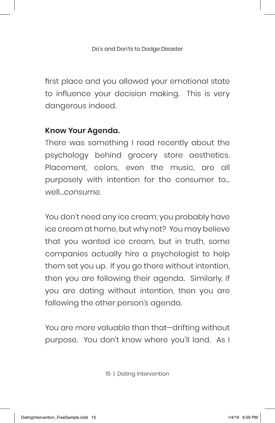first place and you allowed your emotional state to influence your decision making. This is very dangerous indeed.

#### **Know Your Agenda.**

There was something I read recently about the psychology behind grocery store aesthetics. Placement, colors, even the music, are all purposely with intention for the consumer to… well...*consume*.

You don't need any ice cream; you probably have ice cream at home, but why not? You may believe that you wanted ice cream, but in truth, some companies actually hire a psychologist to help them set you up. If you go there without intention, then you are following their agenda. Similarly, if you are dating without intention, then you are following the other person's agenda.

You are more valuable than that—drifting without purpose. You don't know where you'll land. As I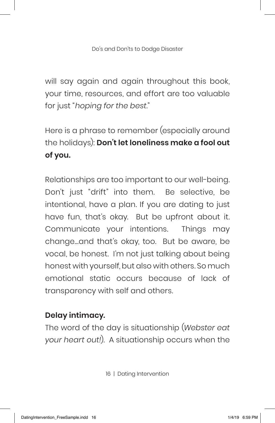will say again and again throughout this book, your time, resources, and effort are too valuable for just "*hoping for the best*."

Here is a phrase to remember (especially around the holidays): **Don't let loneliness make a fool out of you.**

Relationships are too important to our well-being. Don't just "drift" into them. Be selective, be intentional, have a plan. If you are dating to just have fun, that's okay. But be upfront about it. Communicate your intentions. Things may change…and that's okay, too. But be aware, be vocal, be honest. I'm not just talking about being honest with yourself, but also with others. So much emotional static occurs because of lack of transparency with self and others.

#### **Delay intimacy.**

The word of the day is situationship (*Webster eat your heart out!*). A situationship occurs when the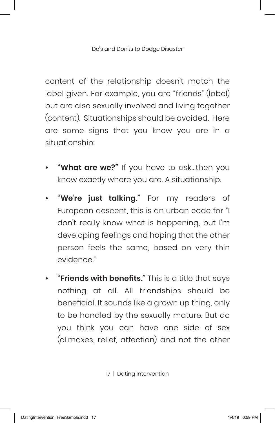Do's and Don'ts to Dodge Disaster

content of the relationship doesn't match the label given. For example, you are "friends" (label) but are also sexually involved and living together (content). Situationships should be avoided. Here are some signs that you know you are in a situationship:

- **• "What are we?"** If you have to ask...then you know exactly where you are. A situationship.
- **• "We're just talking."** For my readers of European descent, this is an urban code for "I don't really know what is happening, but I'm developing feelings and hoping that the other person feels the same, based on very thin evidence."
- **• "Friends with benefits."** This is a title that says nothing at all. All friendships should be beneficial. It sounds like a grown up thing, only to be handled by the sexually mature. But do you think you can have one side of sex (climaxes, relief, affection) and not the other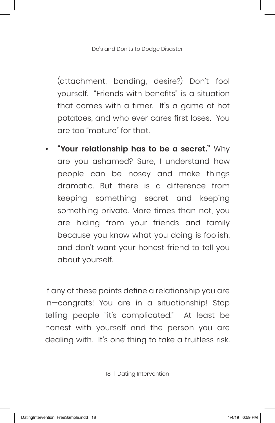(attachment, bonding, desire?) Don't fool yourself. "Friends with benefits" is a situation that comes with a timer. It's a game of hot potatoes, and who ever cares first loses. You are too "mature" for that.

**• "Your relationship has to be a secret."** Why are you ashamed? Sure, I understand how people can be nosey and make things dramatic. But there is a difference from keeping something secret and keeping something private. More times than not, you are hiding from your friends and family because you know what you doing is foolish, and don't want your honest friend to tell you about yourself.

If any of these points define a relationship you are in—congrats! You are in a situationship! Stop telling people "it's complicated." At least be honest with yourself and the person you are dealing with. It's one thing to take a fruitless risk.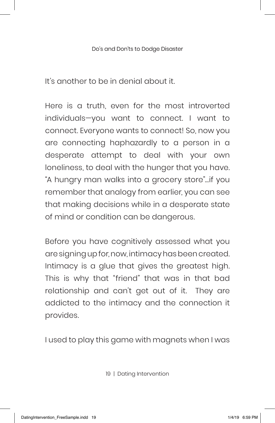It's another to be in denial about it.

Here is a truth, even for the most introverted individuals—you want to connect. I want to connect. Everyone wants to connect! So, now you are connecting haphazardly to a person in a desperate attempt to deal with your own loneliness, to deal with the hunger that you have. "A hungry man walks into a grocery store"…if you remember that analogy from earlier, you can see that making decisions while in a desperate state of mind or condition can be dangerous.

Before you have cognitively assessed what you are signing up for, now, intimacy has been created. Intimacy is a glue that gives the greatest high. This is why that "friend" that was in that bad relationship and can't get out of it. They are addicted to the intimacy and the connection it provides.

I used to play this game with magnets when I was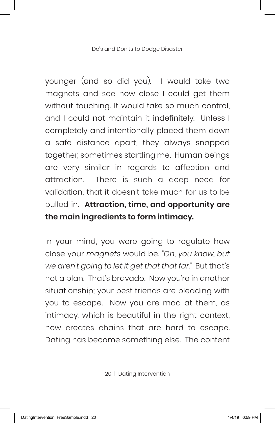younger (and so did you). I would take two magnets and see how close I could get them without touching. It would take so much control, and I could not maintain it indefinitely. Unless I completely and intentionally placed them down a safe distance apart, they always snapped together, sometimes startling me. Human beings are very similar in regards to affection and attraction. There is such a deep need for validation, that it doesn't take much for us to be pulled in. **Attraction, time, and opportunity are the main ingredients to form intimacy.** 

In your mind, you were going to regulate how close your *magnets* would be. "*Oh, you know, but we aren't going to let it get that that far.*" But that's not a plan. That's bravado. Now you're in another situationship; your best friends are pleading with you to escape. Now you are mad at them, as intimacy, which is beautiful in the right context, now creates chains that are hard to escape. Dating has become something else. The content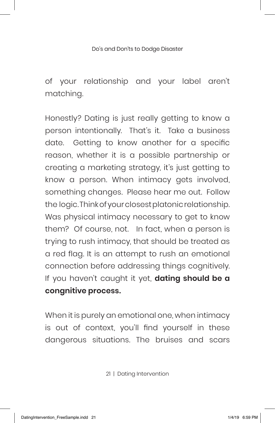#### Do's and Don'ts to Dodge Disaster

of your relationship and your label aren't matching.

Honestly? Dating is just really getting to know a person intentionally. That's it. Take a business date. Getting to know another for a specific reason, whether it is a possible partnership or creating a marketing strategy, it's just getting to know a person. When intimacy gets involved, something changes. Please hear me out. Follow the logic. Think of your closest platonic relationship. Was physical intimacy necessary to get to know them? Of course, not. In fact, when a person is trying to rush intimacy, that should be treated as a red flag. It is an attempt to rush an emotional connection before addressing things cognitively. If you haven't caught it yet, **dating should be a congnitive process.** 

When it is purely an emotional one, when intimacy is out of context, you'll find yourself in these dangerous situations. The bruises and scars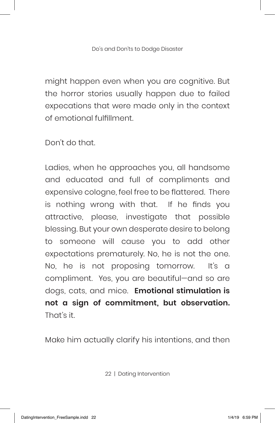might happen even when you are cognitive. But the horror stories usually happen due to failed expecations that were made only in the context of emotional fulfillment.

Don't do that.

Ladies, when he approaches you, all handsome and educated and full of compliments and expensive cologne, feel free to be flattered. There is nothing wrong with that. If he finds you attractive, please, investigate that possible blessing. But your own desperate desire to belong to someone will cause you to add other expectations prematurely. No, he is not the one. No, he is not proposing tomorrow. It's a compliment. Yes, you are beautiful—and so are dogs, cats, and mice. **Emotional stimulation is not a sign of commitment, but observation.** That's it.

Make him actually clarify his intentions, and then